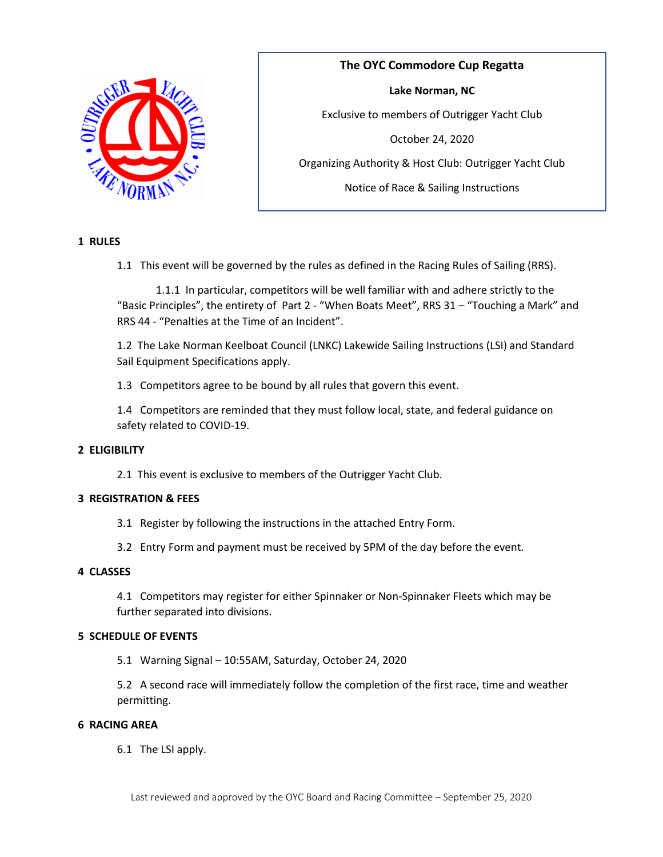

**The OYC Commodore Cup Regatta Lake Norman, NC** Exclusive to members of Outrigger Yacht Club October 24, 2020 Organizing Authority & Host Club: Outrigger Yacht Club Notice of Race & Sailing Instructions

# **1 RULES**

1.1 This event will be governed by the rules as defined in the Racing Rules of Sailing (RRS).

1.1.1 In particular, competitors will be well familiar with and adhere strictly to the "Basic Principles", the entirety of Part 2 ‐ "When Boats Meet", RRS 31 – "Touching a Mark" and RRS 44 ‐ "Penalties at the Time of an Incident".

1.2 The Lake Norman Keelboat Council (LNKC) Lakewide Sailing Instructions (LSI) and Standard Sail Equipment Specifications apply.

1.3 Competitors agree to be bound by all rules that govern this event.

1.4 Competitors are reminded that they must follow local, state, and federal guidance on safety related to COVID-19.

# **2 ELIGIBILITY**

2.1 This event is exclusive to members of the Outrigger Yacht Club.

#### **3 REGISTRATION & FEES**

- 3.1 Register by following the instructions in the attached Entry Form.
- 3.2 Entry Form and payment must be received by 5PM of the day before the event.

# **4 CLASSES**

4.1 Competitors may register for either Spinnaker or Non‐Spinnaker Fleets which may be further separated into divisions.

## **5 SCHEDULE OF EVENTS**

5.1 Warning Signal – 10:55AM, Saturday, October 24, 2020

5.2 A second race will immediately follow the completion of the first race, time and weather permitting.

#### **6 RACING AREA**

6.1 The LSI apply.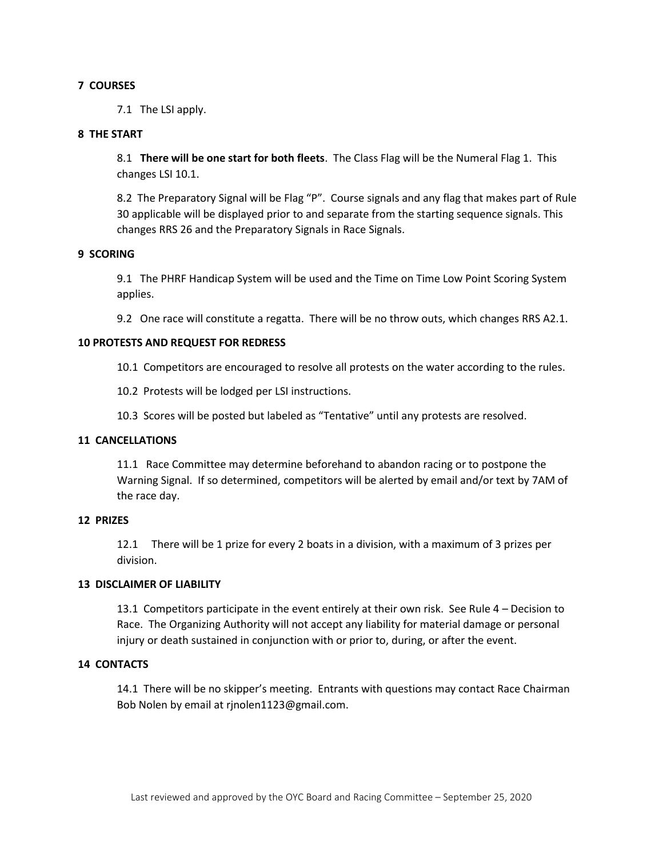## **7 COURSES**

7.1 The LSI apply.

## **8 THE START**

8.1 **There will be one start for both fleets**. The Class Flag will be the Numeral Flag 1. This changes LSI 10.1.

8.2 The Preparatory Signal will be Flag "P". Course signals and any flag that makes part of Rule 30 applicable will be displayed prior to and separate from the starting sequence signals. This changes RRS 26 and the Preparatory Signals in Race Signals.

#### **9 SCORING**

9.1 The PHRF Handicap System will be used and the Time on Time Low Point Scoring System applies.

9.2 One race will constitute a regatta. There will be no throw outs, which changes RRS A2.1.

## **10 PROTESTS AND REQUEST FOR REDRESS**

10.1 Competitors are encouraged to resolve all protests on the water according to the rules.

10.2 Protests will be lodged per LSI instructions.

10.3 Scores will be posted but labeled as "Tentative" until any protests are resolved.

#### **11 CANCELLATIONS**

11.1 Race Committee may determine beforehand to abandon racing or to postpone the Warning Signal. If so determined, competitors will be alerted by email and/or text by 7AM of the race day.

#### **12 PRIZES**

12.1 There will be 1 prize for every 2 boats in a division, with a maximum of 3 prizes per division.

## **13 DISCLAIMER OF LIABILITY**

13.1 Competitors participate in the event entirely at their own risk. See Rule 4 – Decision to Race. The Organizing Authority will not accept any liability for material damage or personal injury or death sustained in conjunction with or prior to, during, or after the event.

#### **14 CONTACTS**

14.1 There will be no skipper's meeting. Entrants with questions may contact Race Chairman Bob Nolen by email at rjnolen1123@gmail.com.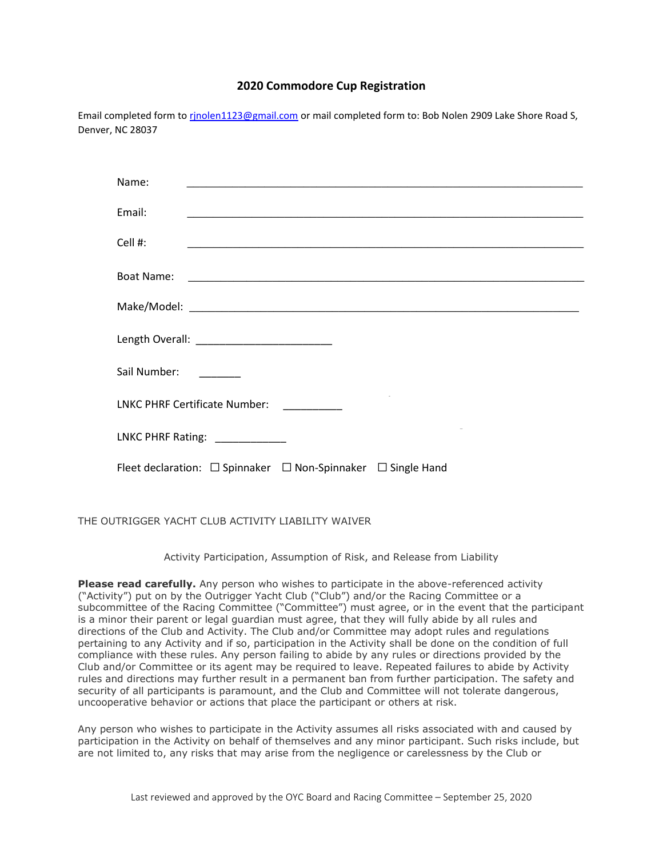# **2020 Commodore Cup Registration**

Email completed form to rinolen1123@gmail.com or mail completed form to: Bob Nolen 2909 Lake Shore Road S, Denver, NC 28037

| Name:                                                                                                                          |
|--------------------------------------------------------------------------------------------------------------------------------|
| Email:<br><u> 2008 - 2008 - 2008 - 2008 - 2008 - 2008 - 2008 - 2008 - 2008 - 2008 - 2008 - 2008 - 2008 - 2008 - 2008 - 200</u> |
| Cell $#$ :                                                                                                                     |
|                                                                                                                                |
|                                                                                                                                |
| Length Overall: ___________________________                                                                                    |
| Sail Number:<br><u> 1990 - Jan Barnett, politik e</u>                                                                          |
| LNKC PHRF Certificate Number: _________                                                                                        |
| LNKC PHRF Rating: _____________                                                                                                |
| Fleet declaration: $\Box$ Spinnaker $\Box$ Non-Spinnaker $\Box$ Single Hand                                                    |

THE OUTRIGGER YACHT CLUB ACTIVITY LIABILITY WAIVER

Activity Participation, Assumption of Risk, and Release from Liability

**Please read carefully.** Any person who wishes to participate in the above-referenced activity ("Activity") put on by the Outrigger Yacht Club ("Club") and/or the Racing Committee or a subcommittee of the Racing Committee ("Committee") must agree, or in the event that the participant is a minor their parent or legal guardian must agree, that they will fully abide by all rules and directions of the Club and Activity. The Club and/or Committee may adopt rules and regulations pertaining to any Activity and if so, participation in the Activity shall be done on the condition of full compliance with these rules. Any person failing to abide by any rules or directions provided by the Club and/or Committee or its agent may be required to leave. Repeated failures to abide by Activity rules and directions may further result in a permanent ban from further participation. The safety and security of all participants is paramount, and the Club and Committee will not tolerate dangerous, uncooperative behavior or actions that place the participant or others at risk.

Any person who wishes to participate in the Activity assumes all risks associated with and caused by participation in the Activity on behalf of themselves and any minor participant. Such risks include, but are not limited to, any risks that may arise from the negligence or carelessness by the Club or